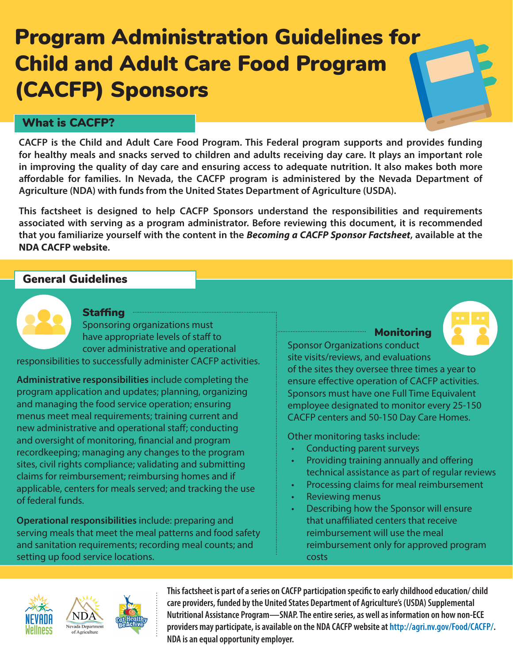# Program Administration Guidelines for Child and Adult Care Food Program (CACFP) Sponsors

## What is CACFP?

**CACFP is the Child and Adult Care Food Program. This Federal program supports and provides funding for healthy meals and snacks served to children and adults receiving day care. It plays an important role in improving the quality of day care and ensuring access to adequate nutrition. It also makes both more affordable for families. In Nevada, the CACFP program is administered by the Nevada Department of Agriculture (NDA) with funds from the United States Department of Agriculture (USDA).**

**This factsheet is designed to help CACFP Sponsors understand the responsibilities and requirements associated with serving as a program administrator. Before reviewing this document, it is recommended that you familiarize yourself with the content in the** *Becoming a CACFP Sponsor Factsheet***, available at the [NDA CACFP website](http://agri.nv.gov/Food/CACFP/).**

## General Guidelines

**Staffing** Sponsoring organizations must have appropriate levels of staff to cover administrative and operational

responsibilities to successfully administer CACFP activities.

**Administrative responsibilities** include completing the program application and updates; planning, organizing and managing the food service operation; ensuring menus meet meal requirements; training current and new administrative and operational staff; conducting and oversight of monitoring, financial and program recordkeeping; managing any changes to the program sites, civil rights compliance; validating and submitting claims for reimbursement; reimbursing homes and if applicable, centers for meals served; and tracking the use of federal funds.

**Operational responsibilities** include: preparing and serving meals that meet the meal patterns and food safety and sanitation requirements; recording meal counts; and setting up food service locations.

Monitoring Sponsor Organizations conduct site visits/reviews, and evaluations



of the sites they oversee three times a year to ensure effective operation of CACFP activities. Sponsors must have one Full Time Equivalent employee designated to monitor every 25-150 CACFP centers and 50-150 Day Care Homes.

Other monitoring tasks include:

- Conducting parent surveys
- Providing training annually and offering technical assistance as part of regular reviews
- Processing claims for meal reimbursement
- Reviewing menus
- Describing how the Sponsor will ensure that unaffiliated centers that receive reimbursement will use the meal reimbursement only for approved program costs





**This factsheet is part of a series on CACFP participation specific to early childhood education/ child care providers, funded by the United States Department of Agriculture's (USDA) Supplemental Nutritional Assistance Program—SNAP. The entire series, as well as information on how non-ECE providers may participate, is available on the NDA CACFP website at http://agri.nv.gov/Food/CACFP/. NDA is an equal opportunity employer.**